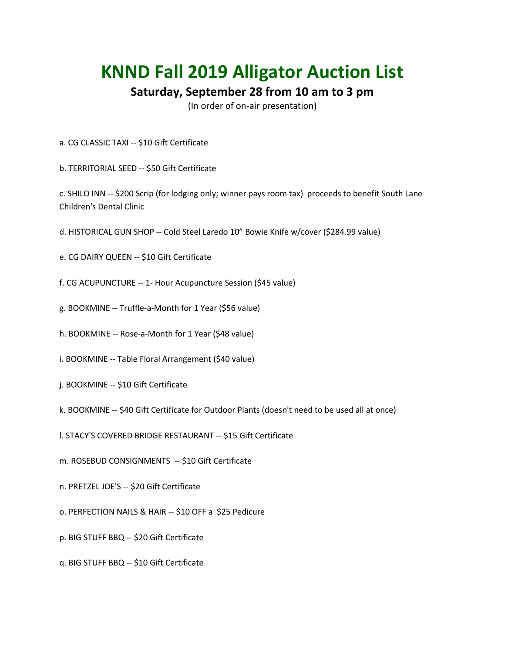## **KNND Fall 2019 Alligator Auction List**

## **Saturday, September 28 from 10 am to 3 pm**

(In order of on-air presentation)

- a. CG CLASSIC TAXI -- \$10 Gift Certificate
- b. TERRITORIAL SEED -- \$50 Gift Certificate

c. SHILO INN -- \$200 Scrip (for lodging only; winner pays room tax) proceeds to benefit South Lane Children's Dental Clinic

- d. HISTORICAL GUN SHOP -- Cold Steel Laredo 10" Bowie Knife w/cover (\$284.99 value)
- e. CG DAIRY QUEEN -- \$10 Gift Certificate
- f. CG ACUPUNCTURE -- 1- Hour Acupuncture Session (\$45 value)
- g. BOOKMINE -- Truffle-a-Month for 1 Year (\$56 value)
- h. BOOKMINE -- Rose-a-Month for 1 Year (\$48 value)
- i. BOOKMINE -- Table Floral Arrangement (\$40 value)
- j. BOOKMINE -- \$10 Gift Certificate
- k. BOOKMINE -- \$40 Gift Certificate for Outdoor Plants (doesn't need to be used all at once)
- l. STACY'S COVERED BRIDGE RESTAURANT -- \$15 Gift Certificate
- m. ROSEBUD CONSIGNMENTS -- \$10 Gift Certificate
- n. PRETZEL JOE'S -- \$20 Gift Certificate
- o. PERFECTION NAILS & HAIR -- \$10 OFF a \$25 Pedicure
- p. BIG STUFF BBQ -- \$20 Gift Certificate
- q. BIG STUFF BBQ -- \$10 Gift Certificate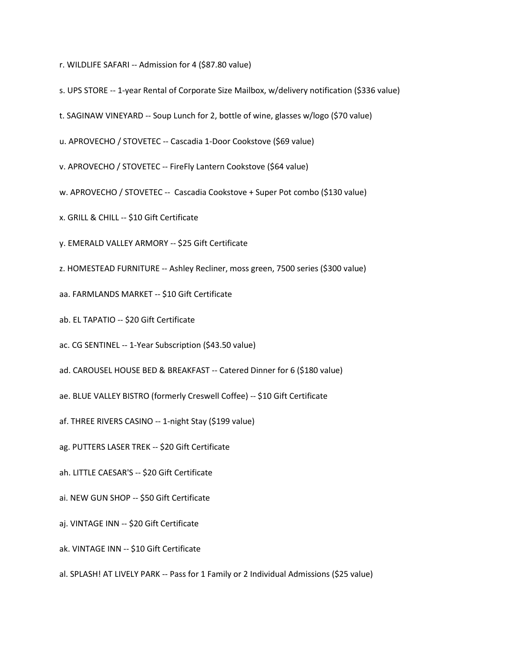- r. WILDLIFE SAFARI -- Admission for 4 (\$87.80 value)
- s. UPS STORE -- 1-year Rental of Corporate Size Mailbox, w/delivery notification (\$336 value)
- t. SAGINAW VINEYARD -- Soup Lunch for 2, bottle of wine, glasses w/logo (\$70 value)
- u. APROVECHO / STOVETEC -- Cascadia 1-Door Cookstove (\$69 value)
- v. APROVECHO / STOVETEC -- FireFly Lantern Cookstove (\$64 value)
- w. APROVECHO / STOVETEC -- Cascadia Cookstove + Super Pot combo (\$130 value)
- x. GRILL & CHILL -- \$10 Gift Certificate
- y. EMERALD VALLEY ARMORY -- \$25 Gift Certificate
- z. HOMESTEAD FURNITURE -- Ashley Recliner, moss green, 7500 series (\$300 value)
- aa. FARMLANDS MARKET -- \$10 Gift Certificate
- ab. EL TAPATIO -- \$20 Gift Certificate
- ac. CG SENTINEL -- 1-Year Subscription (\$43.50 value)
- ad. CAROUSEL HOUSE BED & BREAKFAST -- Catered Dinner for 6 (\$180 value)
- ae. BLUE VALLEY BISTRO (formerly Creswell Coffee) -- \$10 Gift Certificate
- af. THREE RIVERS CASINO -- 1-night Stay (\$199 value)
- ag. PUTTERS LASER TREK -- \$20 Gift Certificate
- ah. LITTLE CAESAR'S -- \$20 Gift Certificate
- ai. NEW GUN SHOP -- \$50 Gift Certificate
- aj. VINTAGE INN -- \$20 Gift Certificate
- ak. VINTAGE INN -- \$10 Gift Certificate
- al. SPLASH! AT LIVELY PARK -- Pass for 1 Family or 2 Individual Admissions (\$25 value)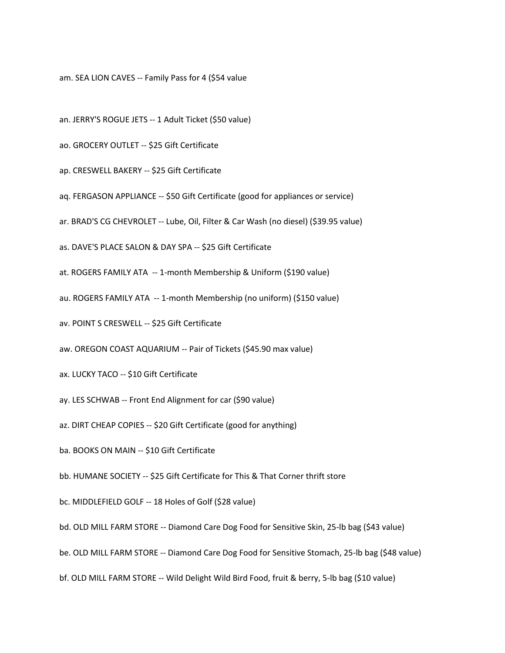am. SEA LION CAVES -- Family Pass for 4 (\$54 value

- an. JERRY'S ROGUE JETS -- 1 Adult Ticket (\$50 value)
- ao. GROCERY OUTLET -- \$25 Gift Certificate
- ap. CRESWELL BAKERY -- \$25 Gift Certificate
- aq. FERGASON APPLIANCE -- \$50 Gift Certificate (good for appliances or service)
- ar. BRAD'S CG CHEVROLET -- Lube, Oil, Filter & Car Wash (no diesel) (\$39.95 value)
- as. DAVE'S PLACE SALON & DAY SPA -- \$25 Gift Certificate
- at. ROGERS FAMILY ATA -- 1-month Membership & Uniform (\$190 value)
- au. ROGERS FAMILY ATA -- 1-month Membership (no uniform) (\$150 value)
- av. POINT S CRESWELL -- \$25 Gift Certificate
- aw. OREGON COAST AQUARIUM -- Pair of Tickets (\$45.90 max value)
- ax. LUCKY TACO -- \$10 Gift Certificate
- ay. LES SCHWAB -- Front End Alignment for car (\$90 value)
- az. DIRT CHEAP COPIES -- \$20 Gift Certificate (good for anything)
- ba. BOOKS ON MAIN -- \$10 Gift Certificate
- bb. HUMANE SOCIETY -- \$25 Gift Certificate for This & That Corner thrift store
- bc. MIDDLEFIELD GOLF -- 18 Holes of Golf (\$28 value)
- bd. OLD MILL FARM STORE -- Diamond Care Dog Food for Sensitive Skin, 25-lb bag (\$43 value)
- be. OLD MILL FARM STORE -- Diamond Care Dog Food for Sensitive Stomach, 25-lb bag (\$48 value)
- bf. OLD MILL FARM STORE -- Wild Delight Wild Bird Food, fruit & berry, 5-lb bag (\$10 value)